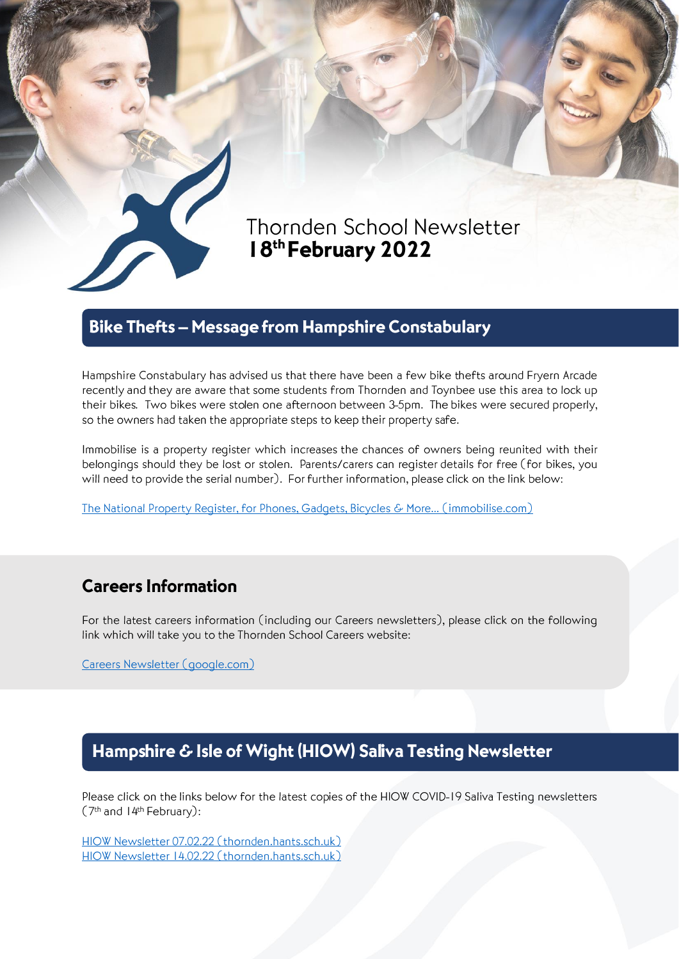

# Thornden School Newsletter 18th February 2022

### **Bike Thefts - Message from Hampshire Constabulary**

Hampshire Constabulary has advised us that there have been a few bike thefts around Fryern Arcade recently and they are aware that some students from Thornden and Toynbee use this area to lock up their bikes. Two bikes were stolen one afternoon between 3-5pm. The bikes were secured properly, so the owners had taken the appropriate steps to keep their property safe.

Immobilise is a property register which increases the chances of owners being reunited with their belongings should they be lost or stolen. Parents/carers can register details for free (for bikes, you will need to provide the serial number). For further information, please click on the link below:

The National Property Register, for Phones, Gadgets, Bicycles & More... (immobilise.com)

## **Careers Information**

For the latest careers information (including our Careers newsletters), please click on the following link which will take you to the Thornden School Careers website:

Careers Newsletter (google.com)

### Hampshire & Isle of Wight (HIOW) Saliva Testing Newsletter

Please click on the links below for the latest copies of the HIOW COVID-19 Saliva Testing newsletters (7<sup>th</sup> and 14<sup>th</sup> February):

HIOW Newsletter 07.02.22 (thornden.hants.sch.uk) HIOW Newsletter 14.02.22 (thornden.hants.sch.uk)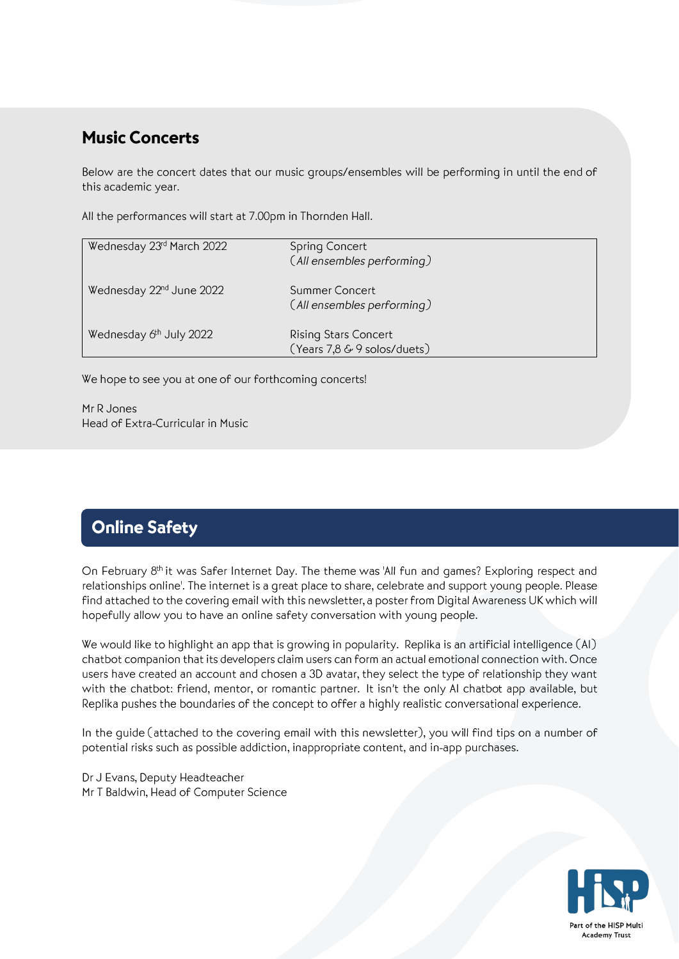### **Music Concerts**

Below are the concert dates that our music groups/ensembles will be performing in until the end of this academic year.

All the performances will start at 7.00pm in Thornden Hall.

| Wednesday 23rd March 2022            | Spring Concert<br>(All ensembles performing)               |
|--------------------------------------|------------------------------------------------------------|
| Wednesday 22 <sup>nd</sup> June 2022 | Summer Concert<br>(All ensembles performing)               |
| Wednesday 6th July 2022              | <b>Rising Stars Concert</b><br>(Years 7,8 & 9 solos/duets) |

We hope to see you at one of our forthcoming concerts!

Mr R Jones Head of Extra-Curricular in Music

# **Online Safety**

On February 8th it was Safer Internet Day. The theme was 'All fun and games? Exploring respect and relationships online'. The internet is a great place to share, celebrate and support young people. Please find attached to the covering email with this newsletter, a poster from Digital Awareness UK which will hopefully allow you to have an online safety conversation with young people.

We would like to highlight an app that is growing in popularity. Replika is an artificial intelligence (AI) chatbot companion that its developers claim users can form an actual emotional connection with. Once users have created an account and chosen a 3D avatar, they select the type of relationship they want with the chatbot: friend, mentor, or romantic partner. It isn't the only AI chatbot app available, but Replika pushes the boundaries of the concept to offer a highly realistic conversational experience.

In the quide (attached to the covering email with this newsletter), you will find tips on a number of potential risks such as possible addiction, inappropriate content, and in-app purchases.

Dr J Evans, Deputy Headteacher Mr T Baldwin, Head of Computer Science

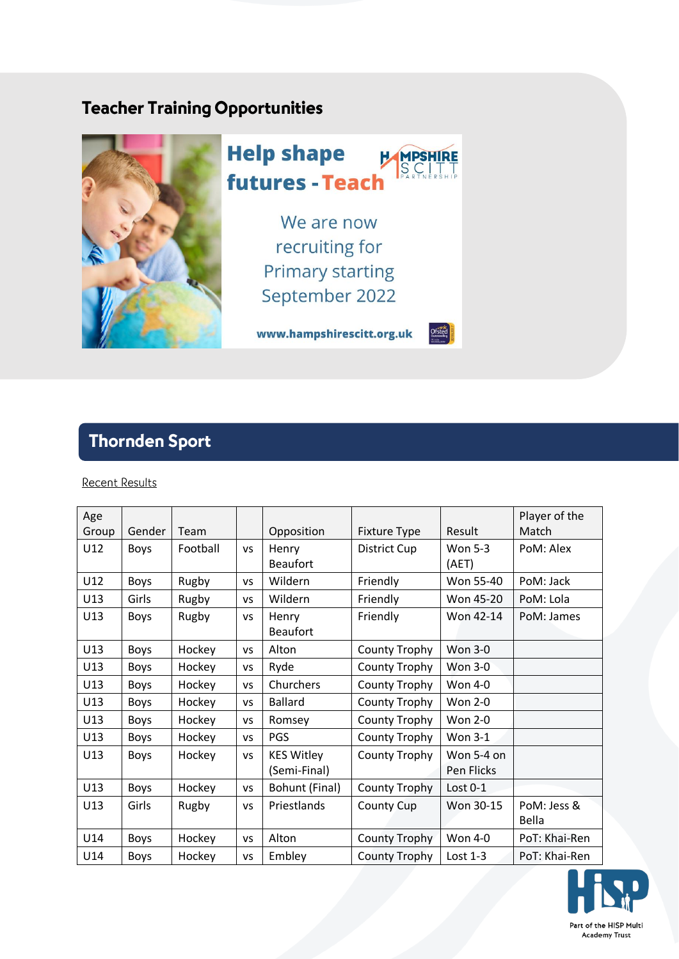## **Teacher Training Opportunities**



# **Thornden Sport**

### **Recent Results**

| Age   |             |          |    |                   |                      |                | Player of the |
|-------|-------------|----------|----|-------------------|----------------------|----------------|---------------|
| Group | Gender      | Team     |    | Opposition        | <b>Fixture Type</b>  | Result         | Match         |
| U12   | <b>Boys</b> | Football | VS | Henry             | <b>District Cup</b>  | <b>Won 5-3</b> | PoM: Alex     |
|       |             |          |    | <b>Beaufort</b>   |                      | (AET)          |               |
| U12   | <b>Boys</b> | Rugby    | VS | Wildern           | Friendly             | Won 55-40      | PoM: Jack     |
| U13   | Girls       | Rugby    | VS | Wildern           | Friendly             | Won 45-20      | PoM: Lola     |
| U13   | Boys        | Rugby    | VS | Henry             | Friendly             | Won 42-14      | PoM: James    |
|       |             |          |    | <b>Beaufort</b>   |                      |                |               |
| U13   | Boys        | Hockey   | VS | Alton             | <b>County Trophy</b> | <b>Won 3-0</b> |               |
| U13   | <b>Boys</b> | Hockey   | VS | Ryde              | <b>County Trophy</b> | <b>Won 3-0</b> |               |
| U13   | Boys        | Hockey   | VS | Churchers         | <b>County Trophy</b> | Won 4-0        |               |
| U13   | Boys        | Hockey   | VS | <b>Ballard</b>    | <b>County Trophy</b> | <b>Won 2-0</b> |               |
| U13   | <b>Boys</b> | Hockey   | VS | Romsey            | <b>County Trophy</b> | Won 2-0        |               |
| U13   | Boys        | Hockey   | VS | <b>PGS</b>        | <b>County Trophy</b> | Won 3-1        |               |
| U13   | Boys        | Hockey   | VS | <b>KES Witley</b> | <b>County Trophy</b> | Won 5-4 on     |               |
|       |             |          |    | (Semi-Final)      |                      | Pen Flicks     |               |
| U13   | <b>Boys</b> | Hockey   | VS | Bohunt (Final)    | <b>County Trophy</b> | Lost $0-1$     |               |
| U13   | Girls       | Rugby    | VS | Priestlands       | <b>County Cup</b>    | Won 30-15      | PoM: Jess &   |
|       |             |          |    |                   |                      |                | Bella         |
| U14   | <b>Boys</b> | Hockey   | VS | Alton             | <b>County Trophy</b> | Won 4-0        | PoT: Khai-Ren |
| U14   | <b>Boys</b> | Hockey   | VS | Embley            | <b>County Trophy</b> | Lost $1-3$     | PoT: Khai-Ren |

![](_page_2_Picture_5.jpeg)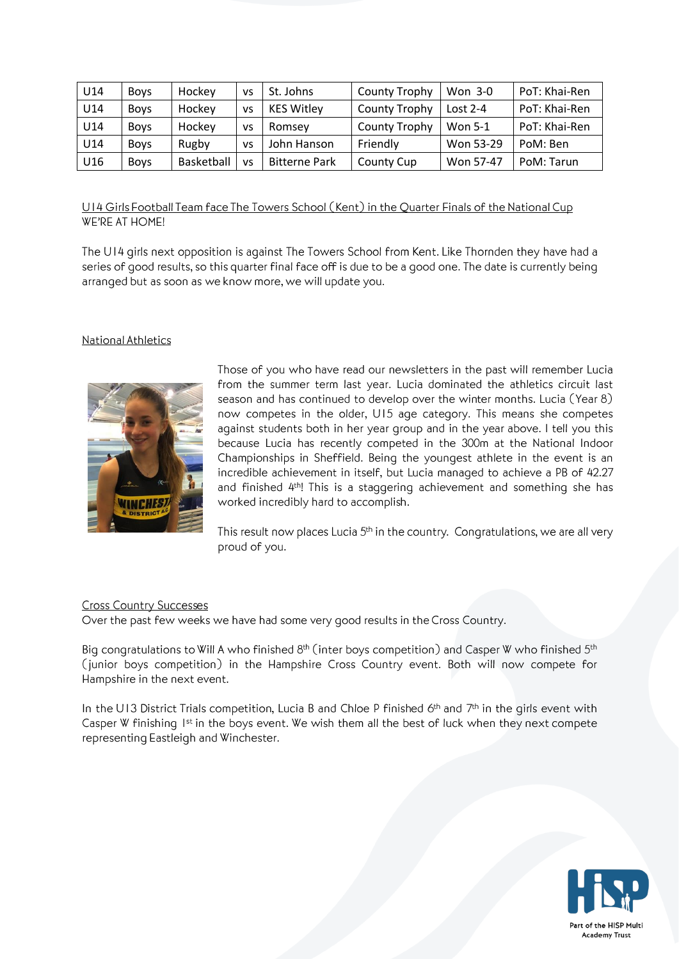| U14 | <b>Boys</b> | Hockey     | VS | St. Johns            | County Trophy | Won 3-0        | PoT: Khai-Ren |
|-----|-------------|------------|----|----------------------|---------------|----------------|---------------|
| U14 | <b>Boys</b> | Hockey     | VS | <b>KES Witley</b>    | County Trophy | Lost $2-4$     | PoT: Khai-Ren |
| U14 | <b>Boys</b> | Hockey     | VS | Romsey               | County Trophy | <b>Won 5-1</b> | PoT: Khai-Ren |
| U14 | <b>Boys</b> | Rugby      | VS | John Hanson          | Friendly      | Won 53-29      | PoM: Ben      |
| U16 | <b>Boys</b> | Basketball | VS | <b>Bitterne Park</b> | County Cup    | Won 57-47      | PoM: Tarun    |

U14 Girls Football Team face The Towers School (Kent) in the Quarter Finals of the National Cup WE'RE AT HOME!

The U14 girls next opposition is against The Towers School from Kent. Like Thornden they have had a series of good results, so this quarter final face off is due to be a good one. The date is currently being arranged but as soon as we know more, we will update you.

#### National Athletics

![](_page_3_Picture_4.jpeg)

Those of you who have read our newsletters in the past will remember Lucia from the summer term last year. Lucia dominated the athletics circuit last season and has continued to develop over the winter months. Lucia (Year 8) now competes in the older, U15 age category. This means she competes against students both in her year group and in the year above. I tell you this because Lucia has recently competed in the 300m at the National Indoor Championships in Sheffield. Being the youngest athlete in the event is an incredible achievement in itself, but Lucia managed to achieve a PB of 42.27 and finished 4<sup>th</sup>! This is a staggering achievement and something she has worked incredibly hard to accomplish.

This result now places Lucia 5<sup>th</sup> in the country. Congratulations, we are all very proud of you.

#### **Cross Country Successes**

Over the past few weeks we have had some very good results in the Cross Country.

Big congratulations to Will A who finished 8<sup>th</sup> (inter boys competition) and Casper W who finished 5<sup>th</sup> (junior boys competition) in the Hampshire Cross Country event. Both will now compete for Hampshire in the next event.

In the UI3 District Trials competition, Lucia B and Chloe P finished 6<sup>th</sup> and 7<sup>th</sup> in the girls event with Casper W finishing 1st in the boys event. We wish them all the best of luck when they next compete representing Eastleigh and Winchester.

![](_page_3_Picture_11.jpeg)